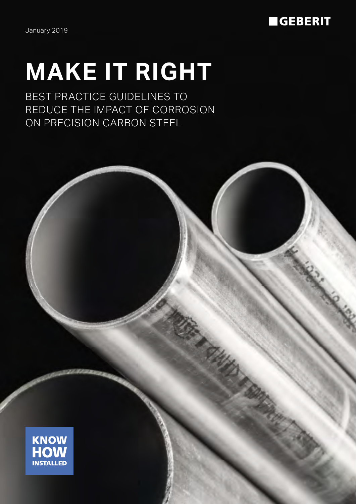January 2019

# **GEBERIT**

# **MAKE IT RIGHT**

BEST PRACTICE GUIDELINES TO REDUCE THE IMPACT OF CORROSION ON PRECISION CARBON STEEL

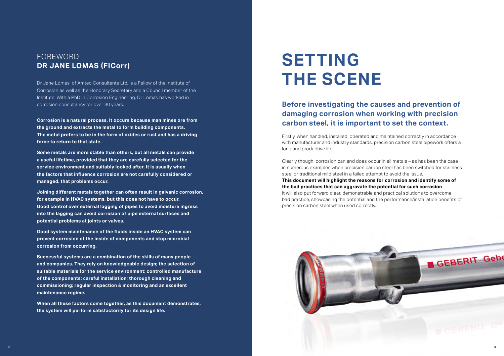

Dr Jane Lomas, of Amtec Consultants Ltd, is a Fellow of the Institute of Corrosion as well as the Honorary Secretary and a Council member of the Institute. With a PhD in Corrosion Engineering, Dr Lomas has worked in corrosion consultancy for over 30 years.

**Corrosion is a natural process. It occurs because man mines ore from the ground and extracts the metal to form building components. The metal prefers to be in the form of oxides or rust and has a driving force to return to that state.**

**Some metals are more stable than others, but all metals can provide a useful lifetime, provided that they are carefully selected for the service environment and suitably looked after. It is usually when the factors that influence corrosion are not carefully considered or managed, that problems occur.**

**Joining different metals together can often result in galvanic corrosion, for example in HVAC systems, but this does not have to occur. Good control over external lagging of pipes to avoid moisture ingress into the lagging can avoid corrosion of pipe external surfaces and potential problems at joints or valves.**

**Good system maintenance of the fluids inside an HVAC system can prevent corrosion of the inside of components and stop microbial corrosion from occurring.**

**Successful systems are a combination of the skills of many people and companies. They rely on knowledgeable design; the selection of suitable materials for the service environment; controlled manufacture of the components; careful installation; thorough cleaning and commissioning; regular inspection & monitoring and an excellent maintenance regime.**

**When all these factors come together, as this document demonstrates, the system will perform satisfactorily for its design life.**

# **SETTING THE SCENE**

## FOREWORD **DR JANE LOMAS (FICorr)**

# **Before investigating the causes and prevention of damaging corrosion when working with precision carbon steel, it is important to set the context.**

Firstly, when handled, installed, operated and maintained correctly in accordance with manufacturer and industry standards, precision carbon steel pipework offers a long and productive life.

Clearly though, corrosion can and does occur in all metals – as has been the case in numerous examples when precision carbon steel has been switched for stainless steel or traditional mild steel in a failed attempt to avoid the issue. **This document will highlight the reasons for corrosion and identify some of the bad practices that can aggravate the potential for such corrosion**. It will also put forward clear, demonstrable and practical solutions to overcome bad practice, showcasing the potential and the performance/installation benefits of precision carbon steel when used correctly.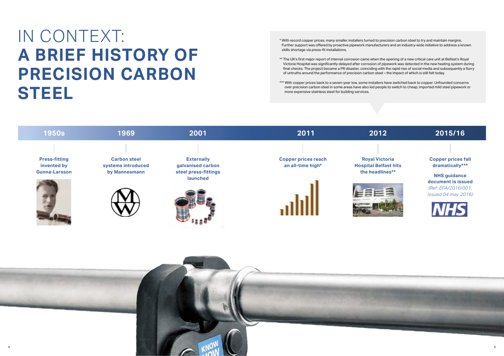\* With record copper prices, many smaller installers turned to precision carbon steel to try and maintain margins. Further support was offered by proactive pipework manufacturers and an industry-wide initiative to address a known skills shortage via press-fit installations.

- \*\* The UK's first major report of internal corrosion came when the opening of a new critical care unit at Belfast's Royal Victoria Hospital was significantly delayed after corrosion of pipework was detected in the new heating system during final checks. The project became a PR disaster, coinciding with the rapid rise of social media and subsequently a flurry of untruths around the performance of precision carbon steel – the impact of which is still felt today.
- \*\*\* With copper prices back to a seven-year low, some installers have switched back to copper. Unfounded concerns over precision carbon steel in some areas have also led people to switch to cheap, imported mild steel pipework or more expensive stainless steel for building services.

# IN CONTEXT: **A BRIEF HISTORY OF PRECISION CARBON STEEL**



### **Copper prices fall dramatically\*\*\***

**NHS guidance document is issued** *(Ref: EFA/2016/001. Issued 04 may 2016)*



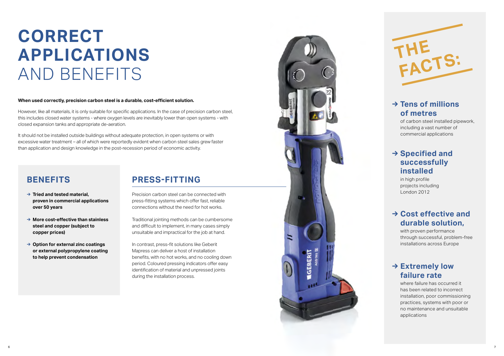### **When used correctly, precision carbon steel is a durable, cost-efficient solution.**

However, like all materials, it is only suitable for specific applications. In the case of precision carbon steel, this includes closed water systems - where oxygen levels are inevitably lower than open systems - with closed expansion tanks and appropriate de-aeration.

It should not be installed outside buildings without adequate protection, in open systems or with excessive water treatment – all of which were reportedly evident when carbon steel sales grew faster than application and design knowledge in the post-recession period of economic activity.

# **BENEFITS**

- **→ Tried and tested material, proven in commercial applications over 50 years**
- **→ More cost-effective than stainless steel and copper (subject to copper prices)**
- **→ Option for external zinc coatings or external polypropylene coating to help prevent condensation**

# **CORRECT APPLICATIONS** AND BENEFITS

# **PRESS-FITTING**

Precision carbon steel can be connected with press-fitting systems which offer fast, reliable connections without the need for hot works.

Traditional jointing methods can be cumbersome and difficult to implement, in many cases simply unsuitable and impractical for the job at hand.

In contrast, press-fit solutions like Geberit Mapress can deliver a host of installation benefits, with no hot works, and no cooling down period. Coloured pressing indicators offer easy identification of material and unpressed joints during the installation process.

![](_page_3_Picture_12.jpeg)

## **→ Tens of millions of metres**

of carbon steel installed pipework, including a vast number of commercial applications

## **→ Cost effective and durable solution,**

with proven performance through successful, problem-free installations across Europe

## **→ Extremely low failure rate**

where failure has occurred it has been related to incorrect installation, poor commissioning practices, systems with poor or no maintenance and unsuitable

![](_page_3_Picture_14.jpeg)

## **→ Specified and successfully installed**

in high profile projects including London 2012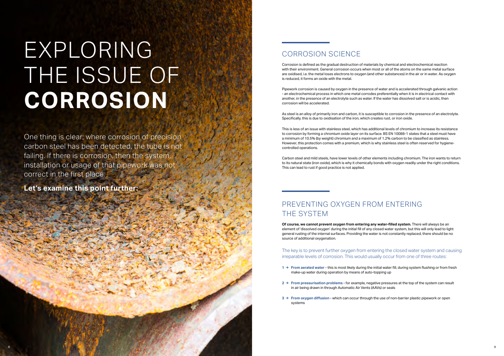# EXPLORING THE ISSUE OF **CORROSION**

# CORROSION SCIENCE

Corrosion is defined as the gradual destruction of materials by chemical and electrochemical reaction with their environment. General corrosion occurs when most or all of the atoms on the same metal surface are oxidised, i.e. the metal loses electrons to oxygen (and other substances) in the air or in water. As oxygen is reduced, it forms an oxide with the metal.

Pipework corrosion is caused by oxygen in the presence of water and is accelerated through galvanic action - an electrochemical process in which one metal corrodes preferentially when it is in electrical contact with another, in the presence of an electrolyte such as water. If the water has dissolved salt or is acidic, then corrosion will be accelerated.

As steel is an alloy of primarily iron and carbon, it is susceptible to corrosion in the presence of an electrolyte. Specifically, this is due to oxidisation of the iron, which creates rust, or iron oxide.

This is less of an issue with stainless steel, which has additional levels of chromium to increase its resistance to corrosion by forming a chromium oxide layer on its surface. BS EN 10088-1 states that a steel must have a minimum of 10.5% (by weight) chromium and a maximum of 1.2% carbon to be classified as stainless. However, this protection comes with a premium, which is why stainless steel is often reserved for hygienecontrolled operations.

Carbon steel and mild steels, have lower levels of other elements including chromium. The iron wants to return to its natural state (iron oxide), which is why it chemically bonds with oxygen readily under the right conditions. This can lead to rust if good practice is not applied.

# PREVENTING OXYGEN FROM ENTERING THE SYSTEM

**Of course, we cannot prevent oxygen from entering any water-filled system.** There will always be an element of 'dissolved oxygen' during the initial fill of any closed water system, but this will only lead to light general rusting of the internal surfaces. Providing the water is not constantly replaced, there should be no source of additional oxygenation.

The key is to prevent further oxygen from entering the closed water system and causing irreparable levels of corrosion. This would usually occur from one of three routes:

- **1 → From aerated water** this is most likely during the initial water fill, during system flushing or from fresh make-up water during operation by means of auto-topping up
- **2 → From pressurisation problems** for example, negative pressures at the top of the system can result in air being drawn in through Automatic Air Vents (AAVs) or seals
- **3 → From oxygen diffusion** which can occur through the use of non-barrier plastic pipework or open systems

One thing is clear; where corrosion of precision carbon steel has been detected, the tube is not failing. If there is corrosion, then the system, installation or usage of that pipework was not correct in the first place.

**Let's examine this point further:**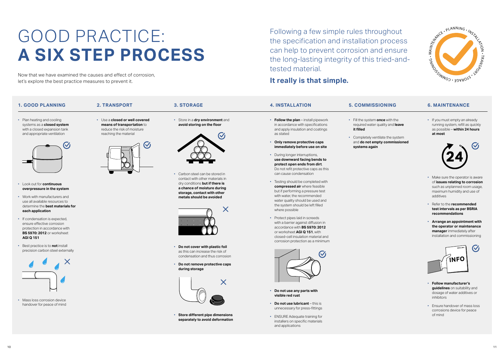![](_page_5_Picture_35.jpeg)

![](_page_5_Picture_29.jpeg)

# GOOD PRACTICE: **A SIX STEP PROCESS**

Following a few simple rules throughout the specification and installation process can help to prevent corrosion and ensure the long-lasting integrity of this tried-andtested material.

### **It really is that simple.**

Now that we have examined the causes and effect of corrosion, let's explore the best practice measures to prevent it.

### **1. GOOD PLANNING**

• Plan heating and cooling systems as a **closed system** with a closed expansion tank and appropriate ventilation

• Look out for **continuous overpressure in the system**

• Work with manufacturers and use all available resources to determine the **best materials for** 

**each application**

• If condensation is expected, ensure effective corrosion protection in accordance with **BS 5970: 2012** or worksheet

**AGI Q 151**

• Best practice is to **not** install precision carbon steel externally

• Mass loss corrosion device handover for peace of mind **4. INSTALLATION**

• **Follow the plan** – install pipework in accordance with specifications and apply insulation and coatings as stated

- **Only remove protective caps immediately before use on site**
- During longer interruptions, **use downward facing bends to protect open ends from dirt**. Do not refit protective caps as this can cause condensation
- Testing should be completed with **compressed air** where feasible but if performing a pressure test with water, the recommended water quality should be used and the system should be left filled where possible
- Protect pipes laid in screeds with a barrier against diffusion in accordance with **BS 5970: 2012** or worksheet **AGI Q 151**, with closed-cell insulation material and corrosion protection as a minimum

![](_page_5_Picture_21.jpeg)

- **Do not use any parts with visible red rust**
- **Do not use lubricant** this is unnecessary for press-fittings
- ENSURE Adequate training for installers on specific materials and applications

### **2. TRANSPORT**

• Use a **closed or well covered means of transportation** to reduce the risk of moisture reaching the material

## **5. COMMISSIONING**

- Fill the system **once** with the required water quality and **leave it filled**
- Completely ventilate the system **systems again**

11 **10** 

### **3. STORAGE**

• Store in a **dry environment** and **avoid storing on the floor**

![](_page_5_Picture_8.jpeg)

• Carbon steel can be stored in contact with other materials in dry conditions **but if there is a chance of moisture during storage, contact with other metals should be avoided**

![](_page_5_Picture_10.jpeg)

- 
- and **do not empty commissioned**
- **TENANCE**  $\frac{1}{2}$ **6. MAINTENANCE**
- If you must empty an alleady<br>running system, refill as quickly<br>as possible **within 24 hours** fill as quickly<br>**in 24 hours**<br> $\mathbf{G}$ at most<br> • If you must empty an already as possible – **within 24 hours**

- **Do not cover with plastic foil** as this can increase the risk of condensation and thus corrosion
- **Do not remove protective caps during storage**

![](_page_5_Figure_13.jpeg)

• **Store different pipe dimensions separately to avoid deformation**

- Make sure the operator is aware of **issues relating to corrosion** such as unplanned room usage, maximum humidity and use of additives
- Refer to the **recommended test intervals as per BSRIA recommendations**
- **Arrange an appointment with the operator or maintenance manager** immediately after installation and commissioning

![](_page_5_Figure_39.jpeg)

- **Follow manufacturer's guidelines** on suitability and dosage of water additives or inhibitors
- Ensure handover of mass loss corrosions device for peace of mind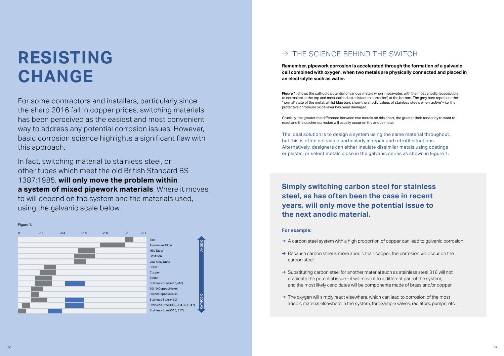# **RESISTING CHANGE**

For some contractors and installers, particularly since the sharp 2016 fall in copper prices, switching materials has been perceived as the easiest and most convenient way to address any potential corrosion issues. However, basic corrosion science highlights a significant flaw with this approach.

In fact, switching material to stainless steel, or other tubes which meet the old British Standard BS 1387:1985, **will only move the problem within a system of mixed pipework materials**. Where it moves to will depend on the system and the materials used, using the galvanic scale below.

**Remember, pipework corrosion is accelerated through the formation of a galvanic cell combined with oxygen, when two metals are physically connected and placed in an electrolyte such as water.** 

**Figure 1.** shows the cathodic potential of various metals when in seawater, with the most anodic (susceptible to corrosion) at the top and most cathodic (resistant to corrosion) at the bottom. The grey bars represent the 'normal' state of the metal, whilst blue bars show the anodic values of stainless steels when 'active' – i.e. the protective chromium oxide layer has been damaged.

Crucially, the greater the difference between two metals on this chart, the greater their tendency to want to react and the quicker corrosion will usually occur on the anode metal.

The ideal solution is to design a system using the same material throughout, but this is often not viable particularly in repair and retrofit situations. Alternatively, designers can either insulate dissimilar metals using coatings or plastic, or select metals close in the galvanic series as shown in Figure 1.

![](_page_6_Figure_3.jpeg)

# $\rightarrow$  THE SCIENCE BEHIND THE SWITCH

# **Simply switching carbon steel for stainless steel, as has often been the case in recent years, will only move the potential issue to the next anodic material.**

### **For example:**

- **→** A carbon steel system with a high proportion of copper can lead to galvanic corrosion
- **→** Because carbon steel is more anodic than copper, the corrosion will occur on the carbon steel
- → Substituting carbon steel for another material such as stainless steel 316 will not eradicate the potential issue - it will move it to a different part of the system; and the most likely candidates will be components made of brass and/or copper
- **→** The oxygen will simply react elsewhere, which can lead to corrosion of the most anodic material elsewhere in the system, for example valves, radiators, pumps, etc...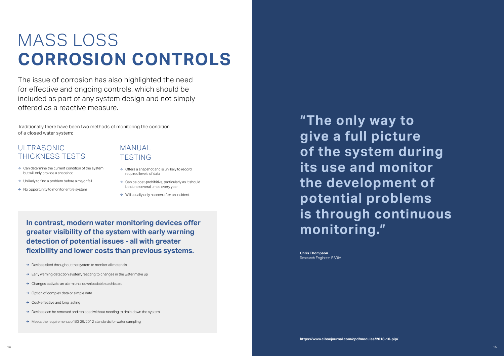**"The only way to give a full picture of the system during its use and monitor the development of potential problems is through continuous monitoring."**

**Chris Thompson**  Research Engineer, BSRIA

# MASS LOSS **CORROSION CONTROLS**

The issue of corrosion has also highlighted the need for effective and ongoing controls, which should be included as part of any system design and not simply offered as a reactive measure.

Traditionally there have been two methods of monitoring the condition of a closed water system:

# ULTRASONIC THICKNESS TESTS

- **→** Can determine the current condition of the system but will only provide a snapshot
- **→** Unlikely to find a problem before a major fail
- **→** No opportunity to monitor entire system

## MANUAL TESTING

- **→** Offers a snapshot and is unlikely to record required levels of data
- **→** Can be cost-prohibitive, particularly as it should be done several times every year
- **→** Will usually only happen after an incident

**In contrast, modern water monitoring devices offer greater visibility of the system with early warning detection of potential issues - all with greater flexibility and lower costs than previous systems.** 

**→** Devices sited throughout the system to monitor all materials

- **→** Early warning detection system, reacting to changes in the water make up
- **→** Changes activate an alarm on a downloadable dashboard
- **→** Option of complex data or simple data
- **→** Cost-effective and long lasting
- **→** Devices can be removed and replaced without needing to drain down the system
- **→** Meets the requirements of BG 29/2012 standards for water sampling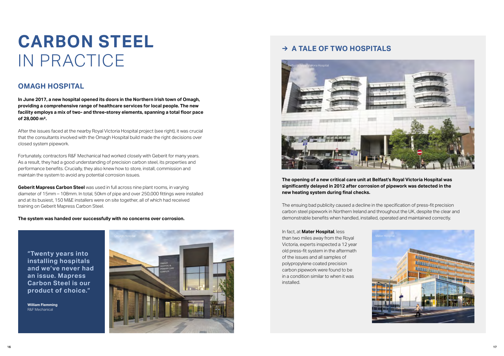# **CARBON STEEL** IN PRACTICE

### **OMAGH HOSPITAL**

**In June 2017, a new hospital opened its doors in the Northern Irish town of Omagh, providing a comprehensive range of healthcare services for local people. The new facility employs a mix of two- and three-storey elements, spanning a total floor pace of 28,000 m².**

After the issues faced at the nearby Royal Victoria Hospital project (see right), it was crucial that the consultants involved with the Omagh Hospital build made the right decisions over closed system pipework.

Fortunately, contractors R&F Mechanical had worked closely with Geberit for many years. As a result, they had a good understanding of precision carbon steel, its properties and performance benefits. Crucially, they also knew how to store, install, commission and maintain the system to avoid any potential corrosion issues.

**Geberit Mapress Carbon Steel** was used in full across nine plant rooms, in varying diameter of 15mm – 108mm. In total, 50km of pipe and over 250,000 fittings were installed and at its busiest, 150 M&E installers were on site together, all of which had received training on Geberit Mapress Carbon Steel.

**The system was handed over successfully with no concerns over corrosion.** 

The ensuing bad publicity caused a decline in the specification of press-fit precision carbon steel pipework in Northern Ireland and throughout the UK, despite the clear and demonstrable benefits when handled, installed, operated and maintained correctly.

## **→ A TALE OF TWO HOSPITALS**

**The opening of a new critical care unit at Belfast's Royal Victoria Hospital was significantly delayed in 2012 after corrosion of pipework was detected in the new heating system during final checks.** 

![](_page_8_Picture_11.jpeg)

In fact, at **Mater Hospital**, less than two miles away from the Royal Victoria, experts inspected a 12 year old press-fit system in the aftermath of the issues and all samples of polypropylene coated precision carbon pipework were found to be in a condition similar to when it was installed.

![](_page_8_Picture_15.jpeg)

**"Twenty years into installing hospitals and we've never had an issue. Mapress Carbon Steel is our product of choice."**

**William Flemming** R&F Mechanical

![](_page_8_Picture_9.jpeg)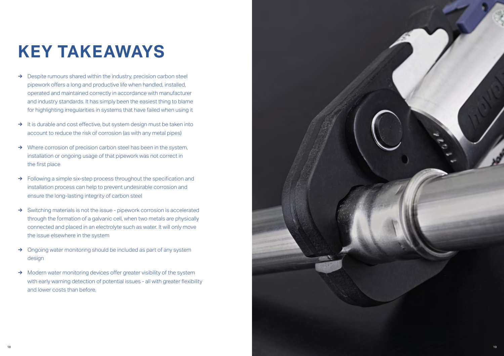# **KEY TAKEAWAYS**

- **→** Despite rumours shared within the industry, precision carbon steel pipework offers a long and productive life when handled, installed, operated and maintained correctly in accordance with manufacturer and industry standards. It has simply been the easiest thing to blame for highlighting irregularities in systems that have failed when using it
- **→** It is durable and cost effective, but system design must be taken into account to reduce the risk of corrosion (as with any metal pipes)
- **→** Where corrosion of precision carbon steel has been in the system, installation or ongoing usage of that pipework was not correct in the first place
- **→** Following a simple six-step process throughout the specification and installation process can help to prevent undesirable corrosion and ensure the long-lasting integrity of carbon steel
- **→** Switching materials is not the issue pipework corrosion is accelerated through the formation of a galvanic cell, when two metals are physically connected and placed in an electrolyte such as water. It will only move the issue elsewhere in the system
- **→** Ongoing water monitoring should be included as part of any system design
- **→** Modern water monitoring devices offer greater visibility of the system with early warning detection of potential issues - all with greater flexibility and lower costs than before.

![](_page_9_Picture_8.jpeg)